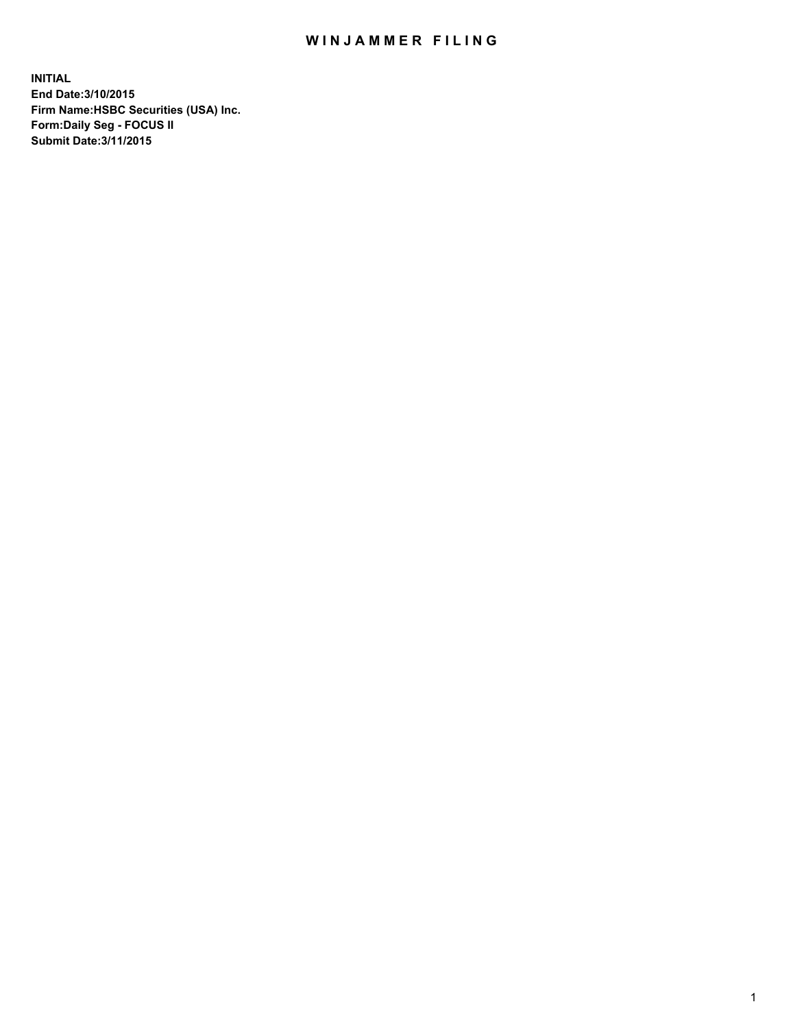## WIN JAMMER FILING

**INITIAL End Date:3/10/2015 Firm Name:HSBC Securities (USA) Inc. Form:Daily Seg - FOCUS II Submit Date:3/11/2015**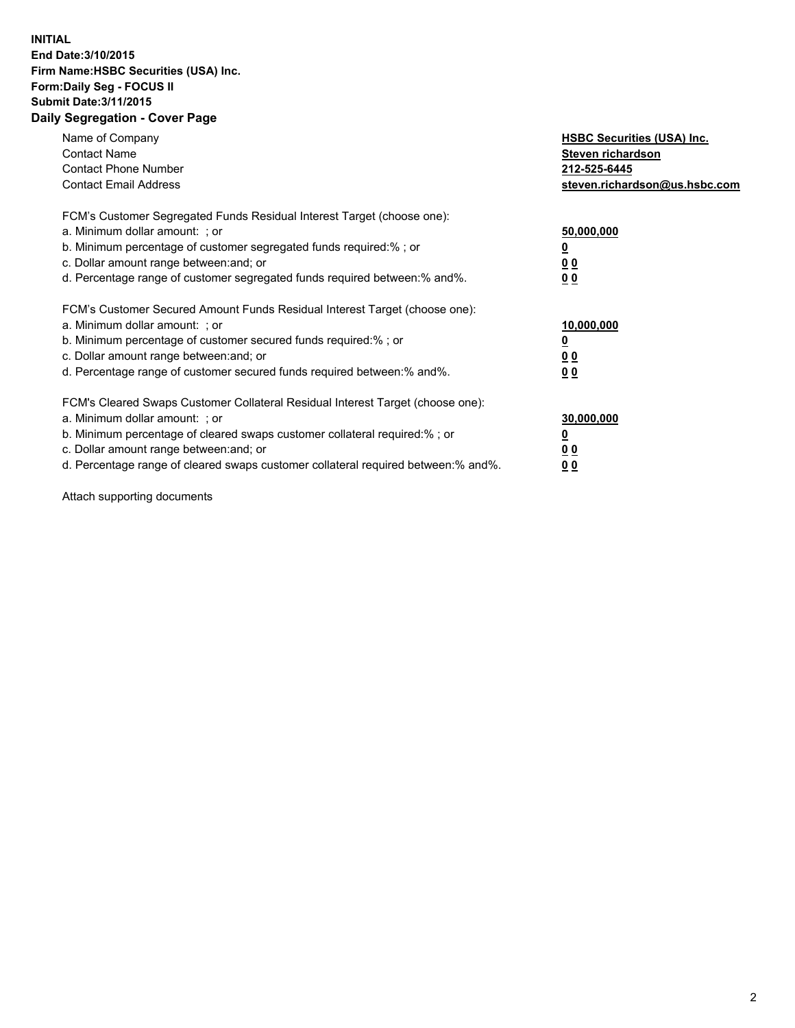## **INITIAL End Date:3/10/2015 Firm Name:HSBC Securities (USA) Inc. Form:Daily Seg - FOCUS II Submit Date:3/11/2015 Daily Segregation - Cover Page**

| Name of Company<br><b>Contact Name</b><br><b>Contact Phone Number</b><br><b>Contact Email Address</b>                                                                                                                                                                                                                          | <b>HSBC Securities (USA) Inc.</b><br>Steven richardson<br>212-525-6445<br>steven.richardson@us.hsbc.com |
|--------------------------------------------------------------------------------------------------------------------------------------------------------------------------------------------------------------------------------------------------------------------------------------------------------------------------------|---------------------------------------------------------------------------------------------------------|
| FCM's Customer Segregated Funds Residual Interest Target (choose one):<br>a. Minimum dollar amount: ; or<br>b. Minimum percentage of customer segregated funds required:% ; or<br>c. Dollar amount range between: and; or<br>d. Percentage range of customer segregated funds required between:% and%.                         | 50,000,000<br>0 <sub>0</sub><br>0 <sub>0</sub>                                                          |
| FCM's Customer Secured Amount Funds Residual Interest Target (choose one):<br>a. Minimum dollar amount: ; or<br>b. Minimum percentage of customer secured funds required:%; or<br>c. Dollar amount range between: and; or<br>d. Percentage range of customer secured funds required between: % and %.                          | 10,000,000<br><u>0</u><br>0 <sub>0</sub><br>0 <sub>0</sub>                                              |
| FCM's Cleared Swaps Customer Collateral Residual Interest Target (choose one):<br>a. Minimum dollar amount: ; or<br>b. Minimum percentage of cleared swaps customer collateral required:% ; or<br>c. Dollar amount range between: and; or<br>d. Percentage range of cleared swaps customer collateral required between:% and%. | 30,000,000<br>0 <sub>0</sub><br>0 <sub>0</sub>                                                          |

Attach supporting documents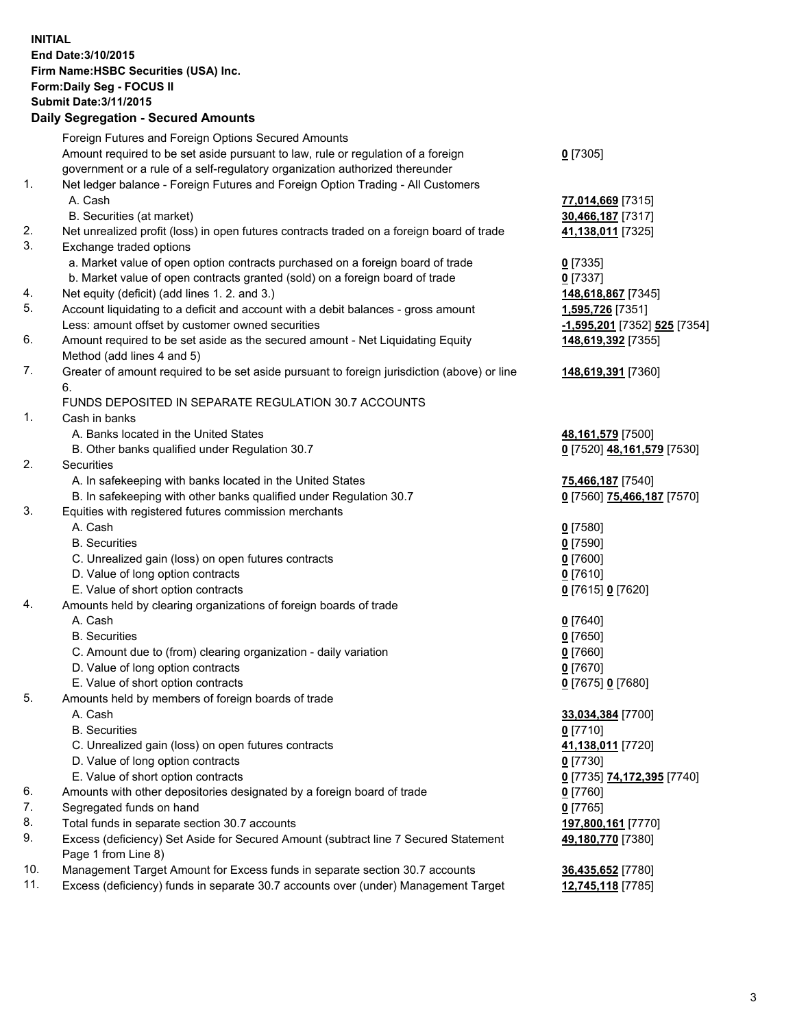**INITIAL End Date:3/10/2015 Firm Name:HSBC Securities (USA) Inc. Form:Daily Seg - FOCUS II Submit Date:3/11/2015 Daily Segregation - Secured Amounts**

Foreign Futures and Foreign Options Secured Amounts Amount required to be set aside pursuant to law, rule or regulation of a foreign government or a rule of a self-regulatory organization authorized thereunder **0** [7305] 1. Net ledger balance - Foreign Futures and Foreign Option Trading - All Customers A. Cash **77,014,669** [7315] B. Securities (at market) **30,466,187** [7317] 2. Net unrealized profit (loss) in open futures contracts traded on a foreign board of trade **41,138,011** [7325] 3. Exchange traded options a. Market value of open option contracts purchased on a foreign board of trade **0** [7335] b. Market value of open contracts granted (sold) on a foreign board of trade **0** [7337] 4. Net equity (deficit) (add lines 1. 2. and 3.) **148,618,867** [7345] 5. Account liquidating to a deficit and account with a debit balances - gross amount **1,595,726** [7351] Less: amount offset by customer owned securities **-1,595,201** [7352] **525** [7354] 6. Amount required to be set aside as the secured amount - Net Liquidating Equity Method (add lines 4 and 5) **148,619,392** [7355] 7. Greater of amount required to be set aside pursuant to foreign jurisdiction (above) or line 6. **148,619,391** [7360] FUNDS DEPOSITED IN SEPARATE REGULATION 30.7 ACCOUNTS 1. Cash in banks A. Banks located in the United States **48,161,579** [7500] B. Other banks qualified under Regulation 30.7 **0** [7520] **48,161,579** [7530] 2. Securities A. In safekeeping with banks located in the United States **75,466,187** [7540] B. In safekeeping with other banks qualified under Regulation 30.7 **0** [7560] **75,466,187** [7570] 3. Equities with registered futures commission merchants A. Cash **0** [7580] B. Securities **0** [7590] C. Unrealized gain (loss) on open futures contracts **0** [7600] D. Value of long option contracts **0** [7610] E. Value of short option contracts **0** [7615] **0** [7620] 4. Amounts held by clearing organizations of foreign boards of trade A. Cash **0** [7640] B. Securities **0** [7650] C. Amount due to (from) clearing organization - daily variation **0** [7660] D. Value of long option contracts **0** [7670] E. Value of short option contracts **0** [7675] **0** [7680] 5. Amounts held by members of foreign boards of trade A. Cash **33,034,384** [7700] B. Securities **0** [7710] C. Unrealized gain (loss) on open futures contracts **41,138,011** [7720] D. Value of long option contracts **0** [7730] E. Value of short option contracts **0** [7735] **74,172,395** [7740] 6. Amounts with other depositories designated by a foreign board of trade **0** [7760] 7. Segregated funds on hand **0** [7765] 8. Total funds in separate section 30.7 accounts **197,800,161** [7770] 9. Excess (deficiency) Set Aside for Secured Amount (subtract line 7 Secured Statement Page 1 from Line 8) **49,180,770** [7380] 10. Management Target Amount for Excess funds in separate section 30.7 accounts **36,435,652** [7780] 11. Excess (deficiency) funds in separate 30.7 accounts over (under) Management Target **12,745,118** [7785]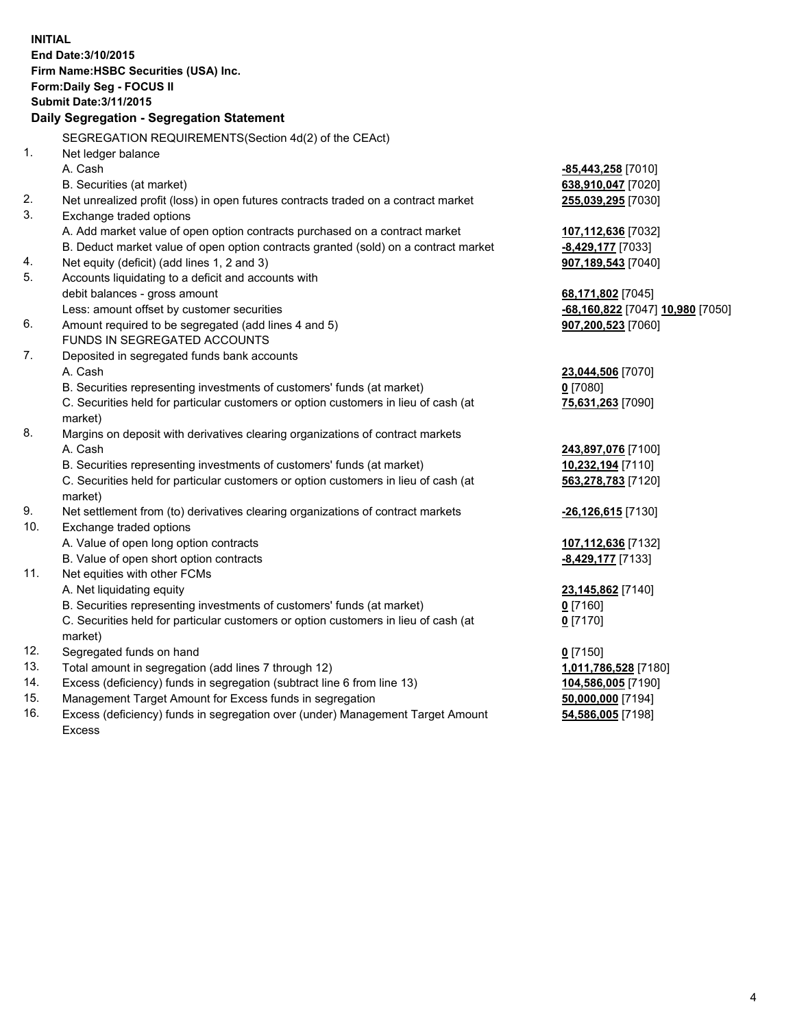**INITIAL End Date:3/10/2015 Firm Name:HSBC Securities (USA) Inc. Form:Daily Seg - FOCUS II Submit Date:3/11/2015 Daily Segregation - Segregation Statement** SEGREGATION REQUIREMENTS(Section 4d(2) of the CEAct) 1. Net ledger balance A. Cash **-85,443,258** [7010] B. Securities (at market) **638,910,047** [7020] 2. Net unrealized profit (loss) in open futures contracts traded on a contract market **255,039,295** [7030] 3. Exchange traded options A. Add market value of open option contracts purchased on a contract market **107,112,636** [7032] B. Deduct market value of open option contracts granted (sold) on a contract market **-8,429,177** [7033] 4. Net equity (deficit) (add lines 1, 2 and 3) **907,189,543** [7040] 5. Accounts liquidating to a deficit and accounts with debit balances - gross amount **68,171,802** [7045] Less: amount offset by customer securities **-68,160,822** [7047] **10,980** [7050] 6. Amount required to be segregated (add lines 4 and 5) **907,200,523** [7060] FUNDS IN SEGREGATED ACCOUNTS 7. Deposited in segregated funds bank accounts A. Cash **23,044,506** [7070] B. Securities representing investments of customers' funds (at market) **0** [7080] C. Securities held for particular customers or option customers in lieu of cash (at market) **75,631,263** [7090] 8. Margins on deposit with derivatives clearing organizations of contract markets A. Cash **243,897,076** [7100] B. Securities representing investments of customers' funds (at market) **10,232,194** [7110] C. Securities held for particular customers or option customers in lieu of cash (at market) **563,278,783** [7120] 9. Net settlement from (to) derivatives clearing organizations of contract markets **-26,126,615** [7130] 10. Exchange traded options A. Value of open long option contracts **107,112,636** [7132] B. Value of open short option contracts **-8,429,177** [7133] 11. Net equities with other FCMs A. Net liquidating equity **23,145,862** [7140] B. Securities representing investments of customers' funds (at market) **0** [7160] C. Securities held for particular customers or option customers in lieu of cash (at market) **0** [7170] 12. Segregated funds on hand **0** [7150] 13. Total amount in segregation (add lines 7 through 12) **1,011,786,528** [7180] 14. Excess (deficiency) funds in segregation (subtract line 6 from line 13) **104,586,005** [7190] 15. Management Target Amount for Excess funds in segregation **50,000,000** [7194]

16. Excess (deficiency) funds in segregation over (under) Management Target Amount Excess

**54,586,005** [7198]